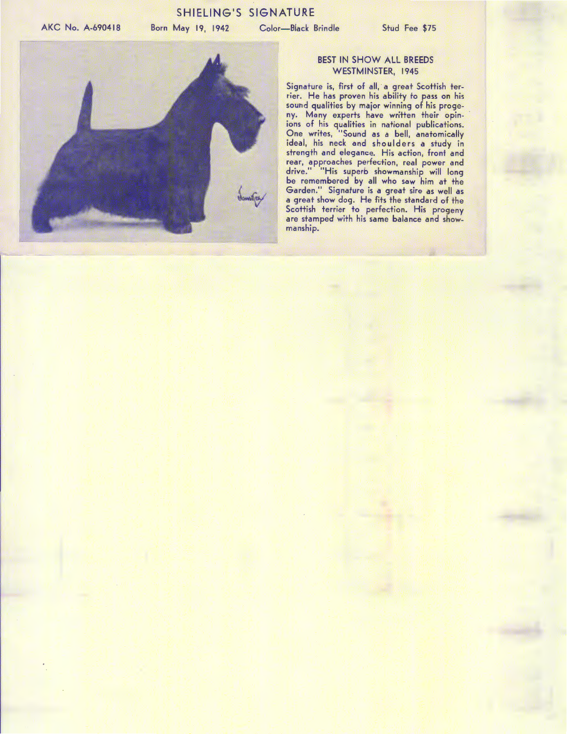## SHIELING'S SIGNATURE

AKC No. A-690418

Born May 19, 1942 Color-Black Brindle Stud Fee \$75



## BEST IN SHOW ALL BREEDS WESTMINSTER, 1945

Signature is, first of all, a great Scottish terrier. He has proven his ability to pass on his sound qualities by major winning of his progeny. Many experts have written their opinions of his qualities in national publications. One writes, "Sound as a bell, anatomically ideal, his neck and shoulders a study in strength and elegance. His action, front and rear, approaches perfection, real power and drive." "His superb showmanship will long be remembered by all who saw him at the Garden." Signature is a great sire as well as a great show dog. He fits the standard of the Scottish terrier to perfection. His progeny are stamped with his same balance and showmanship.